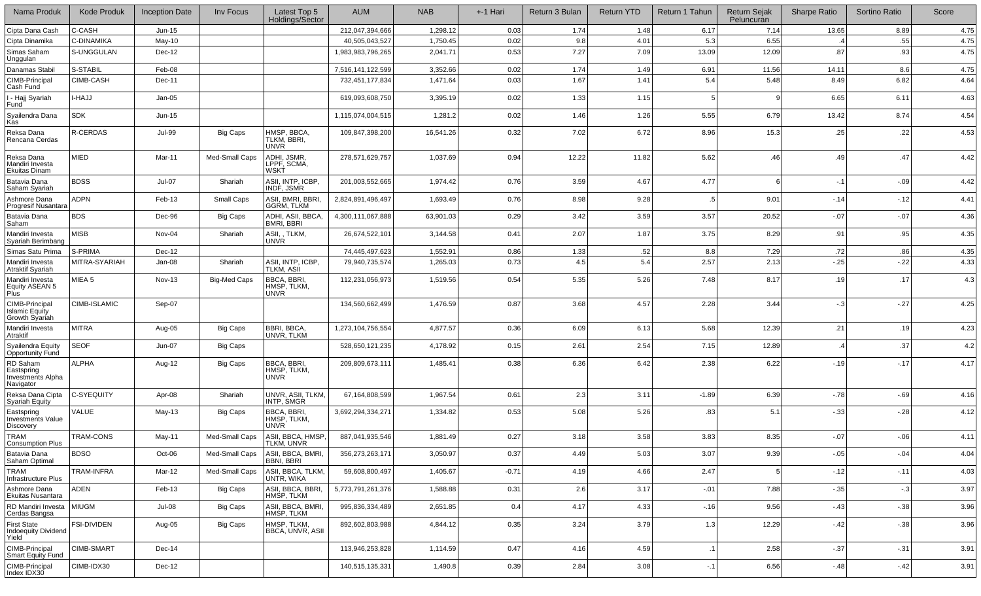| Nama Produk                                                     | <b>Kode Produk</b> | <b>Inception Date</b> | Inv Focus           | Latest Top 5<br>Holdings/Sector                 | <b>AUM</b>        | <b>NAB</b> | +-1 Hari | Return 3 Bulan | <b>Return YTD</b> | Return 1 Tahun | <b>Return Sejak</b><br>Peluncuran | <b>Sharpe Ratio</b> | Sortino Ratio | Score |
|-----------------------------------------------------------------|--------------------|-----------------------|---------------------|-------------------------------------------------|-------------------|------------|----------|----------------|-------------------|----------------|-----------------------------------|---------------------|---------------|-------|
| Cipta Dana Cash                                                 | C-CASH             | $Jun-15$              |                     |                                                 | 212,047,394,666   | 1,298.12   | 0.03     | 1.74           | 1.48              | 6.17           | 7.14                              | 13.65               | 8.89          | 4.75  |
| Cipta Dinamika                                                  | C-DINAMIKA         | $May-10$              |                     |                                                 | 40,505,043,527    | 1,750.45   | 0.02     | 9.8            | 4.01              | 5.3            | 6.55                              |                     | .55           | 4.75  |
| Simas Saham<br>Unggulan                                         | S-UNGGULAN         | Dec-12                |                     |                                                 | 1,983,983,796,265 | 2,041.71   | 0.53     | 7.27           | 7.09              | 13.09          | 12.09                             | .87                 | .93           | 4.75  |
| Danamas Stabil                                                  | S-STABIL           | Feb-08                |                     |                                                 | 7,516,141,122,599 | 3,352.66   | 0.02     | 1.74           | 1.49              | 6.91           | 11.56                             | 14.11               | 8.6           | 4.75  |
| CIMB-Principal<br>Cash Fund                                     | CIMB-CASH          | Dec-11                |                     |                                                 | 732,451,177,834   | 1,471.64   | 0.03     | 1.67           | 1.41              | 5.4            | 5.48                              | 8.49                | 6.82          | 4.64  |
| - Hajj Syariah<br>Fund                                          | <b>LHAJJ</b>       | $Jan-05$              |                     |                                                 | 619,093,608,750   | 3,395.19   | 0.02     | 1.33           | 1.15              |                |                                   | 6.65                | 6.11          | 4.63  |
| Syailendra Dana<br>Kas                                          | SDK                | $Jun-15$              |                     |                                                 | 1,115,074,004,515 | 1,281.2    | 0.02     | 1.46           | 1.26              | 5.55           | 6.79                              | 13.42               | 8.74          | 4.54  |
| Reksa Dana<br>Rencana Cerdas                                    | R-CERDAS           | <b>Jul-99</b>         | <b>Big Caps</b>     | HMSP, BBCA,<br>TLKM, BBRI,<br><b>UNVR</b>       | 109,847,398,200   | 16,541.26  | 0.32     | 7.02           | 6.72              | 8.96           | 15.3                              | .25                 | .22           | 4.53  |
| Reksa Dana<br>Mandiri Investa<br>Ekuitas Dinam                  | MIED               | Mar-11                | Med-Small Caps      | ADHI, JSMR<br>LPPF, SCMA,<br><b>WSKT</b>        | 278,571,629,757   | 1,037.69   | 0.94     | 12.22          | 11.82             | 5.62           | .46                               | .49                 | .47           | 4.42  |
| Batavia Dana<br>Saham Syariah                                   | <b>BDSS</b>        | <b>Jul-07</b>         | Shariah             | ASII, INTP, ICBP,<br>INDF, JSMR                 | 201,003,552,665   | 1,974.42   | 0.76     | 3.59           | 4.67              | 4.77           |                                   | $-.1$               | $-0.9$        | 4.42  |
| Ashmore Dana<br>Progresif Nusantara                             | <b>ADPN</b>        | Feb-13                | Small Caps          | ASII, BMRI, BBRI,<br><b>GGRM, TLKM</b>          | 2,824,891,496,497 | 1,693.49   | 0.76     | 8.98           | 9.28              | .5             | 9.01                              | $-14$               | $-12$         | 4.41  |
| Batavia Dana<br>Saham                                           | <b>BDS</b>         | Dec-96                | <b>Big Caps</b>     | ADHI. ASII. BBCA.<br><b>BMRI, BBRI</b>          | 4,300,111,067,888 | 63,901.03  | 0.29     | 3.42           | 3.59              | 3.57           | 20.52                             | $-07$               | $-07$         | 4.36  |
| Mandiri Investa<br>Syariah Berimbang                            | MISB               | Nov-04                | Shariah             | ASII,, TLKM,<br><b>UNVR</b>                     | 26,674,522,101    | 3,144.58   | 0.41     | 2.07           | 1.87              | 3.75           | 8.29                              | .91                 | .95           | 4.35  |
| Simas Satu Prima                                                | S-PRIMA            | Dec-12                |                     |                                                 | 74.445.497.623    | 1,552.9    | 0.86     | 1.33           | .52               | 8.8            | 7.29                              | .72                 | .86           | 4.35  |
| Mandiri Investa<br>Atraktif Syariah                             | MITRA-SYARIAH      | Jan-08                | Shariah             | ASII, INTP, ICBP,<br>TLKM, ASII                 | 79,940,735,574    | 1,265.03   | 0.73     | 4.5            | 5.4               | 2.57           | 2.13                              | $-25$               | $-22$         | 4.33  |
| Mandiri Investa<br>Equity ASEAN 5<br>Plus                       | MIEA 5             | Nov-13                | <b>Big-Med Caps</b> | <b>BBCA, BBRI</b><br>HMSP, TLKM,<br><b>UNVR</b> | 112,231,056,973   | 1,519.56   | 0.54     | 5.35           | 5.26              | 7.48           | 8.17                              | .19                 | .17           | 4.3   |
| CIMB-Principal<br><b>Islamic Equity</b><br>Growth Syariah       | CIMB-ISLAMIC       | Sep-07                |                     |                                                 | 134,560,662,499   | 1,476.59   | 0.87     | 3.68           | 4.57              | 2.28           | 3.44                              | $-3$                | $-27$         | 4.25  |
| Mandiri Investa<br>Atraktif                                     | MITRA              | Aug-05                | <b>Big Caps</b>     | BBRI, BBCA,<br>UNVR, TLKM                       | 1,273,104,756,554 | 4,877.57   | 0.36     | 6.09           | 6.13              | 5.68           | 12.39                             | .21                 | .19           | 4.23  |
| Syailendra Equity<br>Opportunity Fund                           | <b>SEOF</b>        | Jun-07                | Big Caps            |                                                 | 528,650,121,235   | 4,178.92   | 0.15     | 2.61           | 2.54              | 7.15           | 12.89                             |                     | .37           | 4.2   |
| RD Saham<br>Eastspring<br><b>Investments Alpha</b><br>Navigator | ALPHA              | Aug-12                | <b>Big Caps</b>     | <b>BBCA, BBRI</b><br>HMSP, TLKM,<br><b>UNVR</b> | 209,809,673,111   | 1,485.41   | 0.38     | 6.36           | 6.42              | 2.38           | 6.22                              | $-19$               | $-17$         | 4.17  |
| Reksa Dana Cipta<br>Syariah Equity                              | C-SYEQUITY         | Apr-08                | Shariah             | UNVR, ASII, TLKM.<br>INTP, SMGR                 | 67,164,808,599    | 1,967.54   | 0.61     | 2.3            | 3.11              | $-1.89$        | 6.39                              | $-78$               | $-69$         | 4.16  |
| Eastspring<br><b>Investments Value</b><br>Discovery             | VALUE              | May-13                | <b>Big Caps</b>     | <b>BBCA, BBRI</b><br>HMSP. TLKM.<br><b>UNVR</b> | 3,692,294,334,271 | 1,334.82   | 0.53     | 5.08           | 5.26              | .83            | 5.1                               | $-33$               | $-28$         | 4.12  |
| TRAM<br>Consumption Plus                                        | TRAM-CONS          | May-11                | Med-Small Caps      | ASII, BBCA, HMSP,<br>TLKM, UNVR                 | 887,041,935,546   | 1,881.49   | 0.27     | 3.18           | 3.58              | 3.83           | 8.35                              | $-07$               | $-06$         | 4.11  |
| Batavia Dana<br>Saham Optimal                                   | <b>BDSO</b>        | Oct-06                | Med-Small Caps      | ASII, BBCA, BMRI,<br><b>BBNI, BBRI</b>          | 356,273,263,171   | 3,050.97   | 0.37     | 4.49           | 5.03              | 3.07           | 9.39                              | $-.05$              | $-04$         | 4.04  |
| TRAM<br>Infrastructure Plus                                     | TRAM-INFRA         | Mar-12                | Med-Small Caps      | ASII, BBCA, TLKM,<br>UNTR, WIKA                 | 59,608,800,497    | 1,405.67   | $-0.71$  | 4.19           | 4.66              | 2.47           |                                   | $-12$               | $-11$         | 4.03  |
| Ashmore Dana<br>Ekuitas Nusantara                               | ADEN               | Feb-13                | <b>Big Caps</b>     | ASII, BBCA, BBRI,<br>HMSP, TLKM                 | 5,773,791,261,376 | 1,588.88   | 0.31     | 2.6            | 3.17              | $-.01$         | 7.88                              | $-0.35$             | $-3$          | 3.97  |
| RD Mandiri Investa<br>Cerdas Bangsa                             | <b>MIUGM</b>       | Jul-08                | <b>Big Caps</b>     | ASII, BBCA, BMRI,<br>HMSP, TLKM                 | 995,836,334,489   | 2,651.85   | 0.4      | 4.17           | 4.33              | $-16$          | 9.56                              | $-43$               | $-38$         | 3.96  |
| <b>First State</b><br><b>Indoequity Dividend</b><br>Yield       | <b>FSI-DIVIDEN</b> | Aug-05                | <b>Big Caps</b>     | HMSP, TLKM,<br><b>BBCA, UNVR, ASII</b>          | 892,602,803,988   | 4,844.12   | 0.35     | 3.24           | 3.79              | 1.3            | 12.29                             | $-42$               | $-.38$        | 3.96  |
| CIMB-Principal<br>Smart Equity Fund                             | CIMB-SMART         | Dec-14                |                     |                                                 | 113,946,253,828   | 1,114.59   | 0.47     | 4.16           | 4.59              | $\cdot$ 1      | 2.58                              | $-37$               | $-31$         | 3.91  |
| CIMB-Principal<br>Index IDX30                                   | CIMB-IDX30         | Dec-12                |                     |                                                 | 140,515,135,331   | 1,490.8    | 0.39     | 2.84           | 3.08              | $-1$           | 6.56                              | $-48$               | $-42$         | 3.91  |